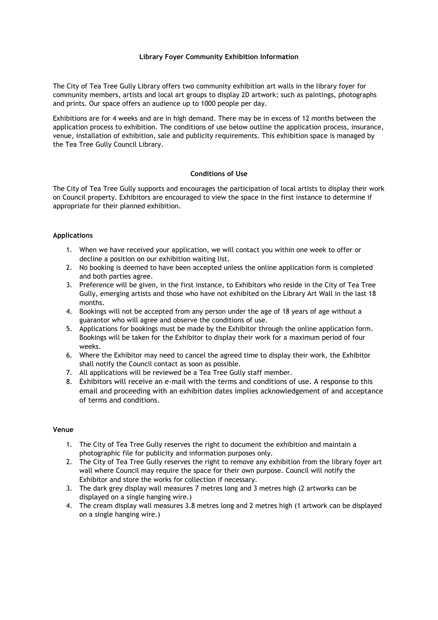### **Library Foyer Community Exhibition Information**

The City of Tea Tree Gully Library offers two community exhibition art walls in the library foyer for community members, artists and local art groups to display 2D artwork; such as paintings, photographs and prints. Our space offers an audience up to 1000 people per day.

Exhibitions are for 4 weeks and are in high demand. There may be in excess of 12 months between the application process to exhibition. The conditions of use below outline the application process, insurance, venue, installation of exhibition, sale and publicity requirements. This exhibition space is managed by the Tea Tree Gully Council Library.

# **Conditions of Use**

The City of Tea Tree Gully supports and encourages the participation of local artists to display their work on Council property. Exhibitors are encouraged to view the space in the first instance to determine if appropriate for their planned exhibition.

# **Applications**

- 1. When we have received your application, we will contact you within one week to offer or decline a position on our exhibition waiting list.
- 2. No booking is deemed to have been accepted unless the online application form is completed and both parties agree.
- 3. Preference will be given, in the first instance, to Exhibitors who reside in the City of Tea Tree Gully, emerging artists and those who have not exhibited on the Library Art Wall in the last 18 months.
- 4. Bookings will not be accepted from any person under the age of 18 years of age without a guarantor who will agree and observe the conditions of use.
- 5. Applications for bookings must be made by the Exhibitor through the online application form. Bookings will be taken for the Exhibitor to display their work for a maximum period of four weeks.
- 6. Where the Exhibitor may need to cancel the agreed time to display their work, the Exhibitor shall notify the Council contact as soon as possible.
- 7. All applications will be reviewed be a Tea Tree Gully staff member.
- 8. Exhibitors will receive an e-mail with the terms and conditions of use. A response to this email and proceeding with an exhibition dates implies acknowledgement of and acceptance of terms and conditions.

### **Venue**

- 1. The City of Tea Tree Gully reserves the right to document the exhibition and maintain a photographic file for publicity and information purposes only.
- 2. The City of Tea Tree Gully reserves the right to remove any exhibition from the library foyer art wall where Council may require the space for their own purpose. Council will notify the Exhibitor and store the works for collection if necessary.
- 3. The dark grey display wall measures 7 metres long and 3 metres high (2 artworks can be displayed on a single hanging wire.)
- 4. The cream display wall measures 3.8 metres long and 2 metres high (1 artwork can be displayed on a single hanging wire.)